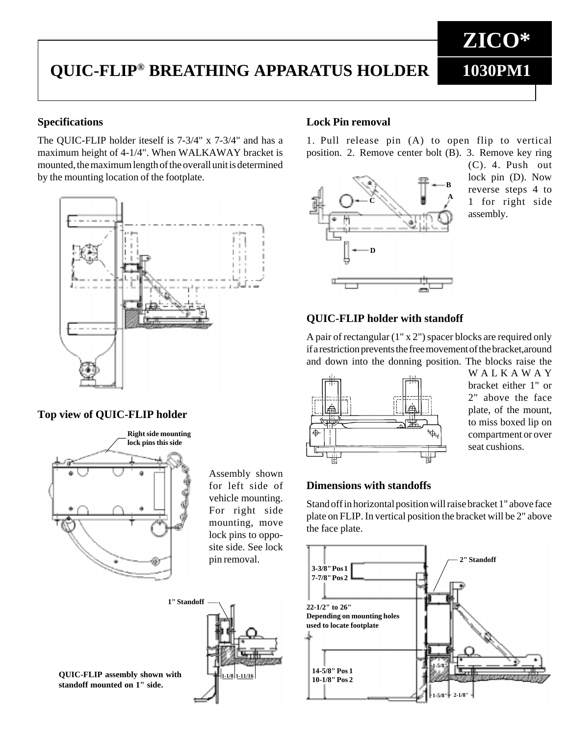# **QUIC-FLIP® BREATHING APPARATUS HOLDER**

## **Specifications**

The QUIC-FLIP holder iteself is 7-3/4" x 7-3/4" and has a maximum height of 4-1/4". When WALKAWAY bracket is mounted, the maximum length of the overall unit is determined by the mounting location of the footplate.



# **Top view of QUIC-FLIP holder**



Assembly shown for left side of vehicle mounting. For right side mounting, move lock pins to opposite side. See lock pin removal.

#### **QUIC-FLIP assembly shown with 1-1/8 1-11/16 standoff mounted on 1" side.**



#### **Lock Pin removal**

1. Pull release pin (A) to open flip to vertical position. 2. Remove center bolt (B). 3. Remove key ring



(C). 4. Push out lock pin (D). Now reverse steps 4 to 1 for right side assembly.

**ZICO\***

**1030PM1**

#### **QUIC-FLIP holder with standoff**

A pair of rectangular (1" x 2") spacer blocks are required only if a restriction prevents the free movement of the bracket,around and down into the donning position. The blocks raise the



WALKAWAY bracket either 1" or 2" above the face plate, of the mount, to miss boxed lip on compartment or over seat cushions.

# **Dimensions with standoffs**

Stand off in horizontal position will raise bracket 1" above face plate on FLIP. In vertical position the bracket will be 2" above the face plate.